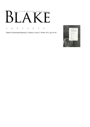# AN ILLUSTRATED QUARTERLY  $\mathbb{R}^n$ К

C O N T E N T S

Blake/An Illustrated Quarterly, Volume 4, Issue 3, Winter 1971, pp. 63-64

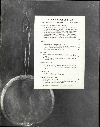# BLAKE NEWSLETTER

Volume 4, number 3 Winter 1971 Whole number 15

### NEWS AND WORKS IN PROGRESS

Doubleday's New Blake Facsimile, York University's Videotape of *America,* Blake at the Thomas Gray Conference, British Blake News, More British Blake Notes, Publications Received: The Golden Chain and *Golgonooza Organ #1,* Copy C of *The Book of Urizen*  at Sotheby's, Pierre Boutang's *William Blake,* Works in Progress, The Checklist of Recent Blake Scholarship: Additions and Corrections 65

#### NOTES

| Robert Essick, The Blakes at UCLA                                                        | 75 |
|------------------------------------------------------------------------------------------|----|
| Edward J. Rose, The 1839-Wilkinson Edition of<br>Blake's Songs in Transcendental America | 79 |
| Morton D. Paley, Blakes at Buffalo                                                       | 81 |
|                                                                                          |    |
| <b>REVIEWS</b>                                                                           |    |
| Irene Chayes, on Blake's Visionary Universe by John<br>Beer                              | 87 |
| Morris Eaves, on the recording of Blake's Songs by<br>Allen Ginsberg                     | 90 |
| <b>COMMENTARY</b>                                                                        |    |
| Allen Ginsberg, To Young or Old Listeners: Setting                                       |    |

| Songs                            | Blake's Songs to Music, and a Commentary on the<br>98 |
|----------------------------------|-------------------------------------------------------|
| <b>DISCUSSION</b>                |                                                       |
| John Beer, A Reply to John Grant | 103                                                   |

#### MINUTE PARTICULARS

| Janet Warner, James Vine                           | 106 |
|----------------------------------------------------|-----|
| G. E. Bentley, Jr., An Apocryphal Blake Engraving: |     |
| The Minor's Pocket Book (1814)                     | 107 |

Copyright© 1971 by Morton D. Paley and Morris Eaves